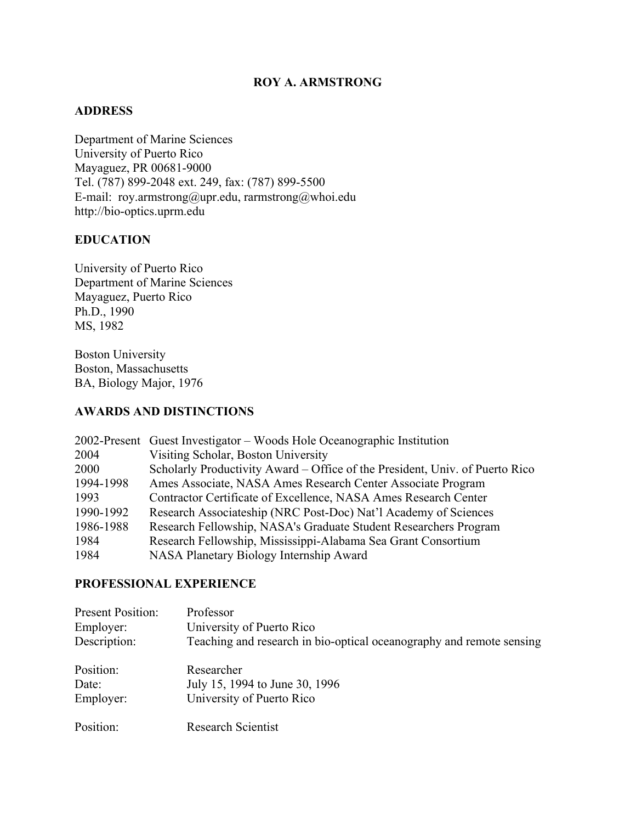## **ROY A. ARMSTRONG**

### **ADDRESS**

Department of Marine Sciences University of Puerto Rico Mayaguez, PR 00681-9000 Tel. (787) 899-2048 ext. 249, fax: (787) 899-5500 E-mail: roy.armstrong@upr.edu, rarmstrong@whoi.edu http://bio-optics.uprm.edu

### **EDUCATION**

University of Puerto Rico Department of Marine Sciences Mayaguez, Puerto Rico Ph.D., 1990 MS, 1982

Boston University Boston, Massachusetts BA, Biology Major, 1976

## **AWARDS AND DISTINCTIONS**

|           | 2002-Present Guest Investigator – Woods Hole Oceanographic Institution       |
|-----------|------------------------------------------------------------------------------|
| 2004      | Visiting Scholar, Boston University                                          |
| 2000      | Scholarly Productivity Award – Office of the President, Univ. of Puerto Rico |
| 1994-1998 | Ames Associate, NASA Ames Research Center Associate Program                  |
| 1993      | Contractor Certificate of Excellence, NASA Ames Research Center              |
| 1990-1992 | Research Associateship (NRC Post-Doc) Nat'l Academy of Sciences              |
| 1986-1988 | Research Fellowship, NASA's Graduate Student Researchers Program             |
| 1984      | Research Fellowship, Mississippi-Alabama Sea Grant Consortium                |
| 1984      | NASA Planetary Biology Internship Award                                      |

## **PROFESSIONAL EXPERIENCE**

| <b>Present Position:</b> | Professor                                                            |
|--------------------------|----------------------------------------------------------------------|
| Employer:                | University of Puerto Rico                                            |
| Description:             | Teaching and research in bio-optical oceanography and remote sensing |
| Position:                | Researcher                                                           |
| Date:                    | July 15, 1994 to June 30, 1996                                       |
| Employer:                | University of Puerto Rico                                            |
| Position:                | <b>Research Scientist</b>                                            |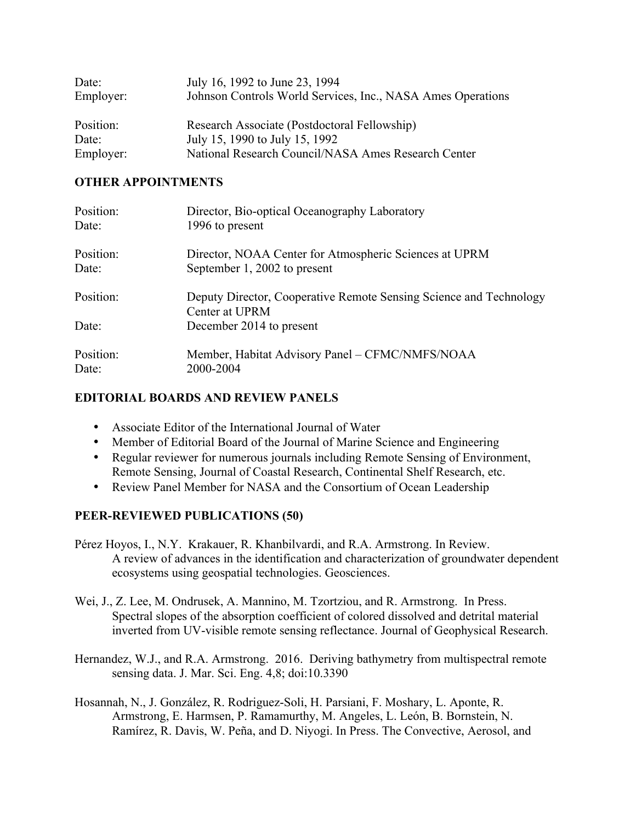| Date:     | July 16, 1992 to June 23, 1994                              |
|-----------|-------------------------------------------------------------|
| Employer: | Johnson Controls World Services, Inc., NASA Ames Operations |
| Position: | Research Associate (Postdoctoral Fellowship)                |
|           |                                                             |
| Date:     | July 15, 1990 to July 15, 1992                              |
| Employer: | National Research Council/NASA Ames Research Center         |

### **OTHER APPOINTMENTS**

| Position:<br>Date: | Director, Bio-optical Oceanography Laboratory<br>1996 to present   |
|--------------------|--------------------------------------------------------------------|
| Position:          | Director, NOAA Center for Atmospheric Sciences at UPRM             |
| Date:              | September 1, 2002 to present                                       |
| Position:          | Deputy Director, Cooperative Remote Sensing Science and Technology |
|                    | Center at UPRM                                                     |
| Date:              | December 2014 to present                                           |
| Position:<br>Date: | Member, Habitat Advisory Panel – CFMC/NMFS/NOAA<br>2000-2004       |

# **EDITORIAL BOARDS AND REVIEW PANELS**

- Associate Editor of the International Journal of Water
- Member of Editorial Board of the Journal of Marine Science and Engineering
- Regular reviewer for numerous journals including Remote Sensing of Environment, Remote Sensing, Journal of Coastal Research, Continental Shelf Research, etc.
- Review Panel Member for NASA and the Consortium of Ocean Leadership

## **PEER-REVIEWED PUBLICATIONS (50)**

- Pérez Hoyos, I., N.Y. Krakauer, R. Khanbilvardi, and R.A. Armstrong. In Review. A review of advances in the identification and characterization of groundwater dependent ecosystems using geospatial technologies. Geosciences.
- Wei, J., Z. Lee, M. Ondrusek, A. Mannino, M. Tzortziou, and R. Armstrong. In Press. Spectral slopes of the absorption coefficient of colored dissolved and detrital material inverted from UV-visible remote sensing reflectance. Journal of Geophysical Research.
- Hernandez, W.J., and R.A. Armstrong. 2016. Deriving bathymetry from multispectral remote sensing data. J. Mar. Sci. Eng. 4,8; doi:10.3390
- Hosannah, N., J. González, R. Rodriguez-Soli, H. Parsiani, F. Moshary, L. Aponte, R. Armstrong, E. Harmsen, P. Ramamurthy, M. Angeles, L. León, B. Bornstein, N. Ramírez, R. Davis, W. Peña, and D. Niyogi. In Press. The Convective, Aerosol, and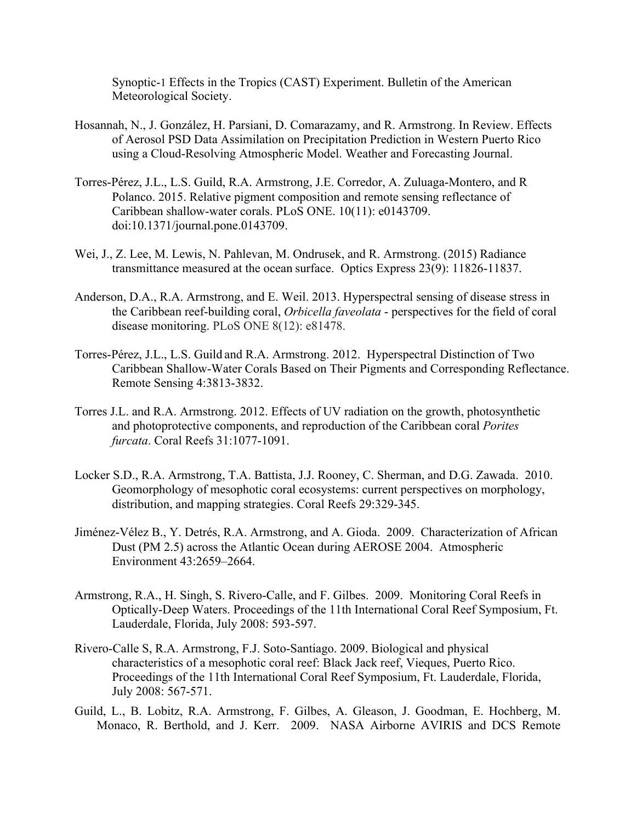Synoptic-1 Effects in the Tropics (CAST) Experiment. Bulletin of the American Meteorological Society.

- Hosannah, N., J. González, H. Parsiani, D. Comarazamy, and R. Armstrong. In Review. Effects of Aerosol PSD Data Assimilation on Precipitation Prediction in Western Puerto Rico using a Cloud-Resolving Atmospheric Model. Weather and Forecasting Journal.
- Torres-Pérez, J.L., L.S. Guild, R.A. Armstrong, J.E. Corredor, A. Zuluaga-Montero, and R Polanco. 2015. Relative pigment composition and remote sensing reflectance of Caribbean shallow-water corals. PLoS ONE. 10(11): e0143709. doi:10.1371/journal.pone.0143709.
- Wei, J., Z. Lee, M. Lewis, N. Pahlevan, M. Ondrusek, and R. Armstrong. (2015) Radiance transmittance measured at the ocean surface. Optics Express 23(9): 11826-11837.
- Anderson, D.A., R.A. Armstrong, and E. Weil. 2013. Hyperspectral sensing of disease stress in the Caribbean reef-building coral, *Orbicella faveolata* - perspectives for the field of coral disease monitoring. PLoS ONE 8(12): e81478.
- Torres-Pérez, J.L., L.S. Guild and R.A. Armstrong. 2012. Hyperspectral Distinction of Two Caribbean Shallow-Water Corals Based on Their Pigments and Corresponding Reflectance. Remote Sensing 4:3813-3832.
- Torres J.L. and R.A. Armstrong. 2012. Effects of UV radiation on the growth, photosynthetic and photoprotective components, and reproduction of the Caribbean coral *Porites furcata*. Coral Reefs 31:1077-1091.
- Locker S.D., R.A. Armstrong, T.A. Battista, J.J. Rooney, C. Sherman, and D.G. Zawada. 2010. Geomorphology of mesophotic coral ecosystems: current perspectives on morphology, distribution, and mapping strategies. Coral Reefs 29:329-345.
- Jiménez-Vélez B., Y. Detrés, R.A. Armstrong, and A. Gioda. 2009. Characterization of African Dust (PM 2.5) across the Atlantic Ocean during AEROSE 2004. Atmospheric Environment 43:2659–2664.
- Armstrong, R.A., H. Singh, S. Rivero-Calle, and F. Gilbes. 2009. Monitoring Coral Reefs in Optically-Deep Waters. Proceedings of the 11th International Coral Reef Symposium, Ft. Lauderdale, Florida, July 2008: 593-597.
- Rivero-Calle S, R.A. Armstrong, F.J. Soto-Santiago. 2009. Biological and physical characteristics of a mesophotic coral reef: Black Jack reef, Vieques, Puerto Rico. Proceedings of the 11th International Coral Reef Symposium, Ft. Lauderdale, Florida, July 2008: 567-571.
- Guild, L., B. Lobitz, R.A. Armstrong, F. Gilbes, A. Gleason, J. Goodman, E. Hochberg, M. Monaco, R. Berthold, and J. Kerr. 2009. NASA Airborne AVIRIS and DCS Remote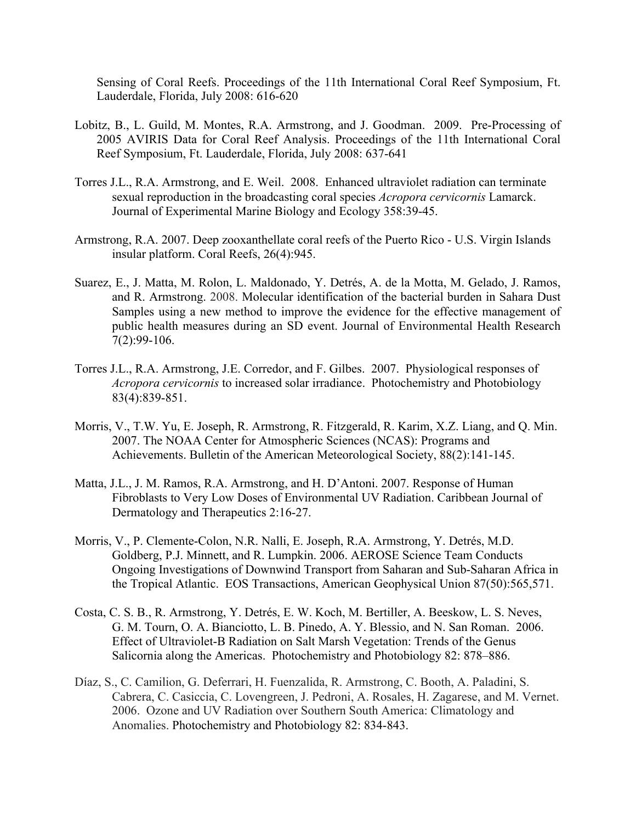Sensing of Coral Reefs. Proceedings of the 11th International Coral Reef Symposium, Ft. Lauderdale, Florida, July 2008: 616-620

- Lobitz, B., L. Guild, M. Montes, R.A. Armstrong, and J. Goodman. 2009. Pre-Processing of 2005 AVIRIS Data for Coral Reef Analysis. Proceedings of the 11th International Coral Reef Symposium, Ft. Lauderdale, Florida, July 2008: 637-641
- Torres J.L., R.A. Armstrong, and E. Weil. 2008. Enhanced ultraviolet radiation can terminate sexual reproduction in the broadcasting coral species *Acropora cervicornis* Lamarck. Journal of Experimental Marine Biology and Ecology 358:39-45.
- Armstrong, R.A. 2007. Deep zooxanthellate coral reefs of the Puerto Rico U.S. Virgin Islands insular platform. Coral Reefs, 26(4):945.
- Suarez, E., J. Matta, M. Rolon, L. Maldonado, Y. Detrés, A. de la Motta, M. Gelado, J. Ramos, and R. Armstrong. 2008. Molecular identification of the bacterial burden in Sahara Dust Samples using a new method to improve the evidence for the effective management of public health measures during an SD event. Journal of Environmental Health Research 7(2):99-106.
- Torres J.L., R.A. Armstrong, J.E. Corredor, and F. Gilbes. 2007. Physiological responses of *Acropora cervicornis* to increased solar irradiance. Photochemistry and Photobiology 83(4):839-851.
- Morris, V., T.W. Yu, E. Joseph, R. Armstrong, R. Fitzgerald, R. Karim, X.Z. Liang, and Q. Min. 2007. The NOAA Center for Atmospheric Sciences (NCAS): Programs and Achievements. Bulletin of the American Meteorological Society, 88(2):141-145.
- Matta, J.L., J. M. Ramos, R.A. Armstrong, and H. D'Antoni. 2007. Response of Human Fibroblasts to Very Low Doses of Environmental UV Radiation. Caribbean Journal of Dermatology and Therapeutics 2:16-27.
- Morris, V., P. Clemente-Colon, N.R. Nalli, E. Joseph, R.A. Armstrong, Y. Detrés, M.D. Goldberg, P.J. Minnett, and R. Lumpkin. 2006. AEROSE Science Team Conducts Ongoing Investigations of Downwind Transport from Saharan and Sub-Saharan Africa in the Tropical Atlantic. EOS Transactions, American Geophysical Union 87(50):565,571.
- Costa, C. S. B., R. Armstrong, Y. Detrés, E. W. Koch, M. Bertiller, A. Beeskow, L. S. Neves, G. M. Tourn, O. A. Bianciotto, L. B. Pinedo, A. Y. Blessio, and N. San Roman. 2006. Effect of Ultraviolet-B Radiation on Salt Marsh Vegetation: Trends of the Genus Salicornia along the Americas. Photochemistry and Photobiology 82: 878–886.
- Díaz, S., C. Camilion, G. Deferrari, H. Fuenzalida, R. Armstrong, C. Booth, A. Paladini, S. Cabrera, C. Casiccia, C. Lovengreen, J. Pedroni, A. Rosales, H. Zagarese, and M. Vernet. 2006. Ozone and UV Radiation over Southern South America: Climatology and Anomalies. Photochemistry and Photobiology 82: 834-843.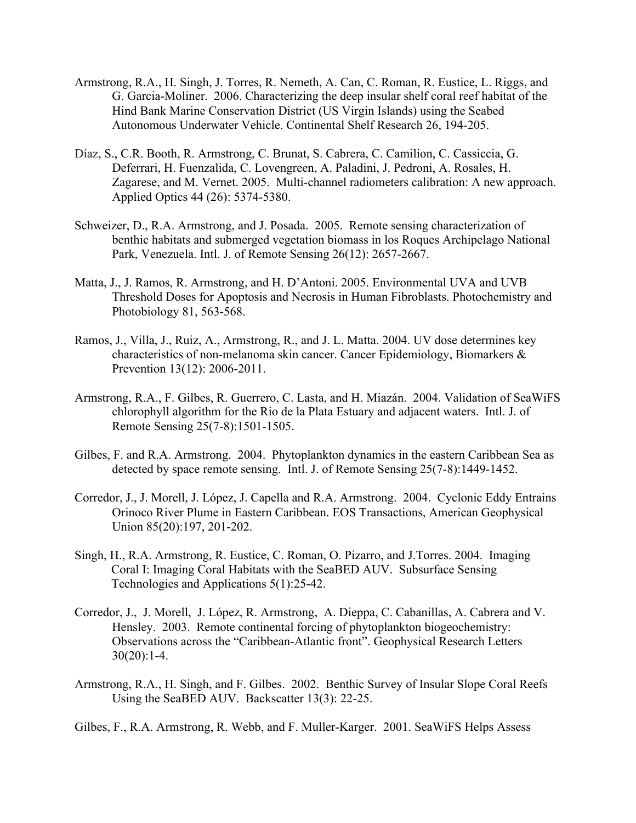- Armstrong, R.A., H. Singh, J. Torres, R. Nemeth, A. Can, C. Roman, R. Eustice, L. Riggs, and G. Garcia-Moliner. 2006. Characterizing the deep insular shelf coral reef habitat of the Hind Bank Marine Conservation District (US Virgin Islands) using the Seabed Autonomous Underwater Vehicle. Continental Shelf Research 26, 194-205.
- Díaz, S., C.R. Booth, R. Armstrong, C. Brunat, S. Cabrera, C. Camilion, C. Cassiccia, G. Deferrari, H. Fuenzalida, C. Lovengreen, A. Paladini, J. Pedroni, A. Rosales, H. Zagarese, and M. Vernet. 2005. Multi-channel radiometers calibration: A new approach. Applied Optics 44 (26): 5374-5380.
- Schweizer, D., R.A. Armstrong, and J. Posada. 2005. Remote sensing characterization of benthic habitats and submerged vegetation biomass in los Roques Archipelago National Park, Venezuela. Intl. J. of Remote Sensing 26(12): 2657-2667.
- Matta, J., J. Ramos, R. Armstrong, and H. D'Antoni. 2005. Environmental UVA and UVB Threshold Doses for Apoptosis and Necrosis in Human Fibroblasts. Photochemistry and Photobiology 81, 563-568.
- Ramos, J., Villa, J., Ruiz, A., Armstrong, R., and J. L. Matta. 2004. UV dose determines key characteristics of non-melanoma skin cancer. Cancer Epidemiology, Biomarkers & Prevention 13(12): 2006-2011.
- Armstrong, R.A., F. Gilbes, R. Guerrero, C. Lasta, and H. Miazán. 2004. Validation of SeaWiFS chlorophyll algorithm for the Rio de la Plata Estuary and adjacent waters. Intl. J. of Remote Sensing 25(7-8):1501-1505.
- Gilbes, F. and R.A. Armstrong. 2004. Phytoplankton dynamics in the eastern Caribbean Sea as detected by space remote sensing. Intl. J. of Remote Sensing 25(7-8):1449-1452.
- Corredor, J., J. Morell, J. López, J. Capella and R.A. Armstrong. 2004. Cyclonic Eddy Entrains Orinoco River Plume in Eastern Caribbean. EOS Transactions, American Geophysical Union 85(20):197, 201-202.
- Singh, H., R.A. Armstrong, R. Eustice, C. Roman, O. Pizarro, and J.Torres. 2004. Imaging Coral I: Imaging Coral Habitats with the SeaBED AUV. Subsurface Sensing Technologies and Applications 5(1):25-42.
- Corredor, J., J. Morell, J. López, R. Armstrong, A. Dieppa, C. Cabanillas, A. Cabrera and V. Hensley. 2003. Remote continental forcing of phytoplankton biogeochemistry: Observations across the "Caribbean-Atlantic front". Geophysical Research Letters  $30(20):1-4.$
- Armstrong, R.A., H. Singh, and F. Gilbes. 2002. Benthic Survey of Insular Slope Coral Reefs Using the SeaBED AUV. Backscatter 13(3): 22-25.
- Gilbes, F., R.A. Armstrong, R. Webb, and F. Muller-Karger. 2001. SeaWiFS Helps Assess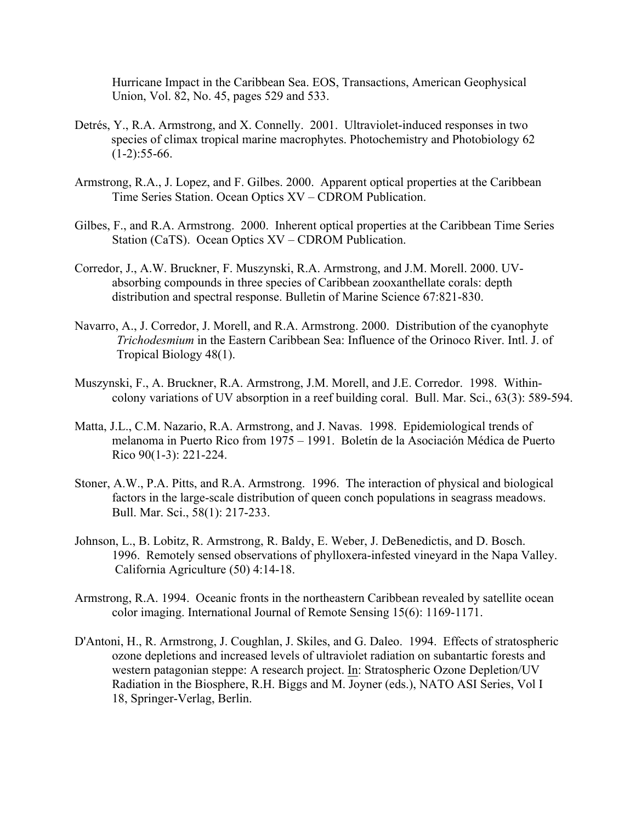Hurricane Impact in the Caribbean Sea. EOS, Transactions, American Geophysical Union, Vol. 82, No. 45, pages 529 and 533.

- Detrés, Y., R.A. Armstrong, and X. Connelly. 2001. Ultraviolet-induced responses in two species of climax tropical marine macrophytes. Photochemistry and Photobiology 62  $(1-2):$ 55-66.
- Armstrong, R.A., J. Lopez, and F. Gilbes. 2000. Apparent optical properties at the Caribbean Time Series Station. Ocean Optics XV – CDROM Publication.
- Gilbes, F., and R.A. Armstrong. 2000. Inherent optical properties at the Caribbean Time Series Station (CaTS). Ocean Optics XV – CDROM Publication.
- Corredor, J., A.W. Bruckner, F. Muszynski, R.A. Armstrong, and J.M. Morell. 2000. UVabsorbing compounds in three species of Caribbean zooxanthellate corals: depth distribution and spectral response. Bulletin of Marine Science 67:821-830.
- Navarro, A., J. Corredor, J. Morell, and R.A. Armstrong. 2000. Distribution of the cyanophyte *Trichodesmium* in the Eastern Caribbean Sea: Influence of the Orinoco River. Intl. J. of Tropical Biology 48(1).
- Muszynski, F., A. Bruckner, R.A. Armstrong, J.M. Morell, and J.E. Corredor. 1998. Withincolony variations of UV absorption in a reef building coral. Bull. Mar. Sci., 63(3): 589-594.
- Matta, J.L., C.M. Nazario, R.A. Armstrong, and J. Navas. 1998. Epidemiological trends of melanoma in Puerto Rico from 1975 – 1991. Boletín de la Asociación Médica de Puerto Rico 90(1-3): 221-224.
- Stoner, A.W., P.A. Pitts, and R.A. Armstrong. 1996. The interaction of physical and biological factors in the large-scale distribution of queen conch populations in seagrass meadows. Bull. Mar. Sci., 58(1): 217-233.
- Johnson, L., B. Lobitz, R. Armstrong, R. Baldy, E. Weber, J. DeBenedictis, and D. Bosch. 1996. Remotely sensed observations of phylloxera-infested vineyard in the Napa Valley. California Agriculture (50) 4:14-18.
- Armstrong, R.A. 1994. Oceanic fronts in the northeastern Caribbean revealed by satellite ocean color imaging. International Journal of Remote Sensing 15(6): 1169-1171.
- D'Antoni, H., R. Armstrong, J. Coughlan, J. Skiles, and G. Daleo. 1994. Effects of stratospheric ozone depletions and increased levels of ultraviolet radiation on subantartic forests and western patagonian steppe: A research project. In: Stratospheric Ozone Depletion/UV Radiation in the Biosphere, R.H. Biggs and M. Joyner (eds.), NATO ASI Series, Vol I 18, Springer-Verlag, Berlin.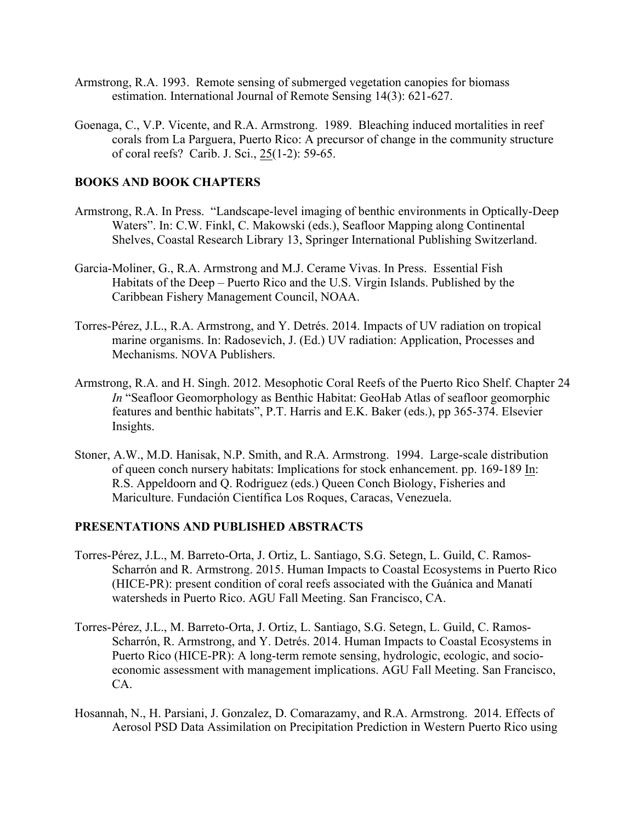- Armstrong, R.A. 1993. Remote sensing of submerged vegetation canopies for biomass estimation. International Journal of Remote Sensing 14(3): 621-627.
- Goenaga, C., V.P. Vicente, and R.A. Armstrong. 1989. Bleaching induced mortalities in reef corals from La Parguera, Puerto Rico: A precursor of change in the community structure of coral reefs? Carib. J. Sci., 25(1-2): 59-65.

#### **BOOKS AND BOOK CHAPTERS**

- Armstrong, R.A. In Press. "Landscape-level imaging of benthic environments in Optically-Deep Waters". In: C.W. Finkl, C. Makowski (eds.), Seafloor Mapping along Continental Shelves, Coastal Research Library 13, Springer International Publishing Switzerland.
- Garcia-Moliner, G., R.A. Armstrong and M.J. Cerame Vivas. In Press. Essential Fish Habitats of the Deep – Puerto Rico and the U.S. Virgin Islands. Published by the Caribbean Fishery Management Council, NOAA.
- Torres-Pérez, J.L., R.A. Armstrong, and Y. Detrés. 2014. Impacts of UV radiation on tropical marine organisms. In: Radosevich, J. (Ed.) UV radiation: Application, Processes and Mechanisms. NOVA Publishers.
- Armstrong, R.A. and H. Singh. 2012. Mesophotic Coral Reefs of the Puerto Rico Shelf. Chapter 24 *In* "Seafloor Geomorphology as Benthic Habitat: GeoHab Atlas of seafloor geomorphic features and benthic habitats", P.T. Harris and E.K. Baker (eds.), pp 365-374. Elsevier Insights.
- Stoner, A.W., M.D. Hanisak, N.P. Smith, and R.A. Armstrong. 1994. Large-scale distribution of queen conch nursery habitats: Implications for stock enhancement. pp. 169-189 In: R.S. Appeldoorn and Q. Rodriguez (eds.) Queen Conch Biology, Fisheries and Mariculture. Fundación Científica Los Roques, Caracas, Venezuela.

### **PRESENTATIONS AND PUBLISHED ABSTRACTS**

- Torres-Pérez, J.L., M. Barreto-Orta, J. Ortiz, L. Santiago, S.G. Setegn, L. Guild, C. Ramos-Scharrón and R. Armstrong. 2015. Human Impacts to Coastal Ecosystems in Puerto Rico (HICE-PR): present condition of coral reefs associated with the Guánica and Manatí watersheds in Puerto Rico. AGU Fall Meeting. San Francisco, CA.
- Torres-Pérez, J.L., M. Barreto-Orta, J. Ortiz, L. Santiago, S.G. Setegn, L. Guild, C. Ramos-Scharrón, R. Armstrong, and Y. Detrés. 2014. Human Impacts to Coastal Ecosystems in Puerto Rico (HICE-PR): A long-term remote sensing, hydrologic, ecologic, and socioeconomic assessment with management implications. AGU Fall Meeting. San Francisco, CA.
- Hosannah, N., H. Parsiani, J. Gonzalez, D. Comarazamy, and R.A. Armstrong. 2014. Effects of Aerosol PSD Data Assimilation on Precipitation Prediction in Western Puerto Rico using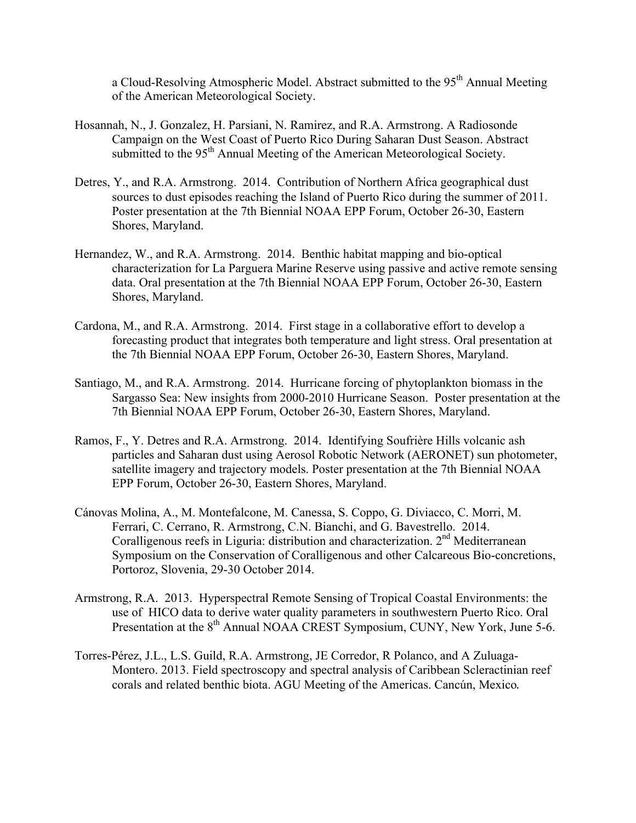a Cloud-Resolving Atmospheric Model. Abstract submitted to the 95<sup>th</sup> Annual Meeting of the American Meteorological Society.

- Hosannah, N., J. Gonzalez, H. Parsiani, N. Ramirez, and R.A. Armstrong. A Radiosonde Campaign on the West Coast of Puerto Rico During Saharan Dust Season. Abstract submitted to the 95<sup>th</sup> Annual Meeting of the American Meteorological Society.
- Detres, Y., and R.A. Armstrong. 2014. Contribution of Northern Africa geographical dust sources to dust episodes reaching the Island of Puerto Rico during the summer of 2011. Poster presentation at the 7th Biennial NOAA EPP Forum, October 26-30, Eastern Shores, Maryland.
- Hernandez, W., and R.A. Armstrong. 2014. Benthic habitat mapping and bio-optical characterization for La Parguera Marine Reserve using passive and active remote sensing data. Oral presentation at the 7th Biennial NOAA EPP Forum, October 26-30, Eastern Shores, Maryland.
- Cardona, M., and R.A. Armstrong. 2014. First stage in a collaborative effort to develop a forecasting product that integrates both temperature and light stress. Oral presentation at the 7th Biennial NOAA EPP Forum, October 26-30, Eastern Shores, Maryland.
- Santiago, M., and R.A. Armstrong. 2014. Hurricane forcing of phytoplankton biomass in the Sargasso Sea: New insights from 2000-2010 Hurricane Season. Poster presentation at the 7th Biennial NOAA EPP Forum, October 26-30, Eastern Shores, Maryland.
- Ramos, F., Y. Detres and R.A. Armstrong. 2014. Identifying Soufrière Hills volcanic ash particles and Saharan dust using Aerosol Robotic Network (AERONET) sun photometer, satellite imagery and trajectory models. Poster presentation at the 7th Biennial NOAA EPP Forum, October 26-30, Eastern Shores, Maryland.
- Cánovas Molina, A., M. Montefalcone, M. Canessa, S. Coppo, G. Diviacco, C. Morri, M. Ferrari, C. Cerrano, R. Armstrong, C.N. Bianchi, and G. Bavestrello. 2014. Coralligenous reefs in Liguria: distribution and characterization. 2<sup>nd</sup> Mediterranean Symposium on the Conservation of Coralligenous and other Calcareous Bio-concretions, Portoroz, Slovenia, 29-30 October 2014.
- Armstrong, R.A. 2013. Hyperspectral Remote Sensing of Tropical Coastal Environments: the use of HICO data to derive water quality parameters in southwestern Puerto Rico. Oral Presentation at the 8<sup>th</sup> Annual NOAA CREST Symposium, CUNY, New York, June 5-6.
- Torres-Pérez, J.L., L.S. Guild, R.A. Armstrong, JE Corredor, R Polanco, and A Zuluaga-Montero. 2013. Field spectroscopy and spectral analysis of Caribbean Scleractinian reef corals and related benthic biota. AGU Meeting of the Americas. Cancún, Mexico.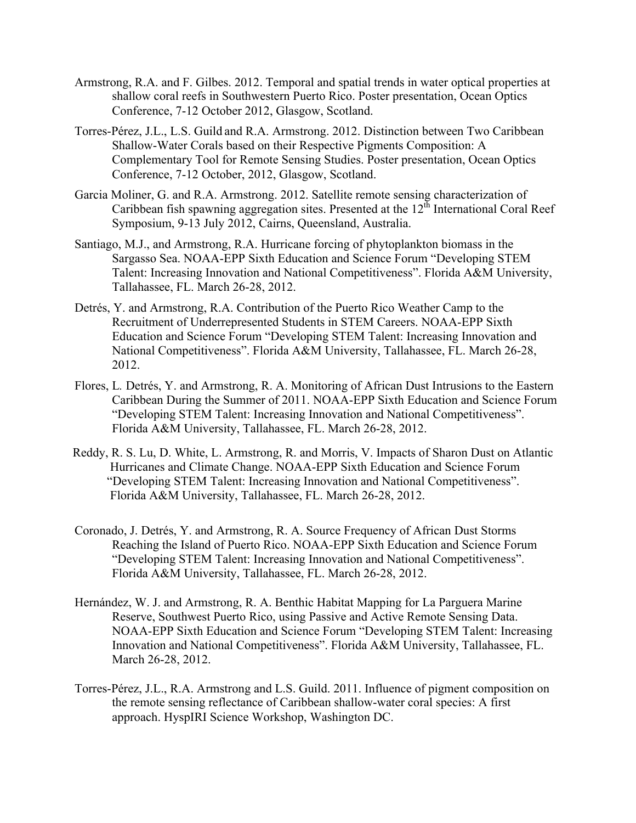- Armstrong, R.A. and F. Gilbes. 2012. Temporal and spatial trends in water optical properties at shallow coral reefs in Southwestern Puerto Rico. Poster presentation, Ocean Optics Conference, 7-12 October 2012, Glasgow, Scotland.
- Torres-Pérez, J.L., L.S. Guild and R.A. Armstrong. 2012. Distinction between Two Caribbean Shallow-Water Corals based on their Respective Pigments Composition: A Complementary Tool for Remote Sensing Studies. Poster presentation, Ocean Optics Conference, 7-12 October, 2012, Glasgow, Scotland.
- Garcia Moliner, G. and R.A. Armstrong. 2012. Satellite remote sensing characterization of Caribbean fish spawning aggregation sites. Presented at the  $12^{th}$  International Coral Reef Symposium, 9-13 July 2012, Cairns, Queensland, Australia.
- Santiago, M.J., and Armstrong, R.A. Hurricane forcing of phytoplankton biomass in the Sargasso Sea. NOAA-EPP Sixth Education and Science Forum "Developing STEM Talent: Increasing Innovation and National Competitiveness". Florida A&M University, Tallahassee, FL. March 26-28, 2012.
- Detrés, Y. and Armstrong, R.A. Contribution of the Puerto Rico Weather Camp to the Recruitment of Underrepresented Students in STEM Careers. NOAA-EPP Sixth Education and Science Forum "Developing STEM Talent: Increasing Innovation and National Competitiveness". Florida A&M University, Tallahassee, FL. March 26-28, 2012.
- Flores, L*.* Detrés, Y. and Armstrong, R. A. Monitoring of African Dust Intrusions to the Eastern Caribbean During the Summer of 2011. NOAA-EPP Sixth Education and Science Forum "Developing STEM Talent: Increasing Innovation and National Competitiveness". Florida A&M University, Tallahassee, FL. March 26-28, 2012.
- Reddy, R. S. Lu, D. White, L. Armstrong, R. and Morris, V. Impacts of Sharon Dust on Atlantic Hurricanes and Climate Change. NOAA-EPP Sixth Education and Science Forum "Developing STEM Talent: Increasing Innovation and National Competitiveness". Florida A&M University, Tallahassee, FL. March 26-28, 2012.
- Coronado, J. Detrés, Y. and Armstrong, R. A. Source Frequency of African Dust Storms Reaching the Island of Puerto Rico. NOAA-EPP Sixth Education and Science Forum "Developing STEM Talent: Increasing Innovation and National Competitiveness". Florida A&M University, Tallahassee, FL. March 26-28, 2012.
- Hernández, W. J. and Armstrong, R. A. Benthic Habitat Mapping for La Parguera Marine Reserve, Southwest Puerto Rico, using Passive and Active Remote Sensing Data. NOAA-EPP Sixth Education and Science Forum "Developing STEM Talent: Increasing Innovation and National Competitiveness". Florida A&M University, Tallahassee, FL. March 26-28, 2012.
- Torres-Pérez, J.L., R.A. Armstrong and L.S. Guild. 2011. Influence of pigment composition on the remote sensing reflectance of Caribbean shallow-water coral species: A first approach. HyspIRI Science Workshop, Washington DC.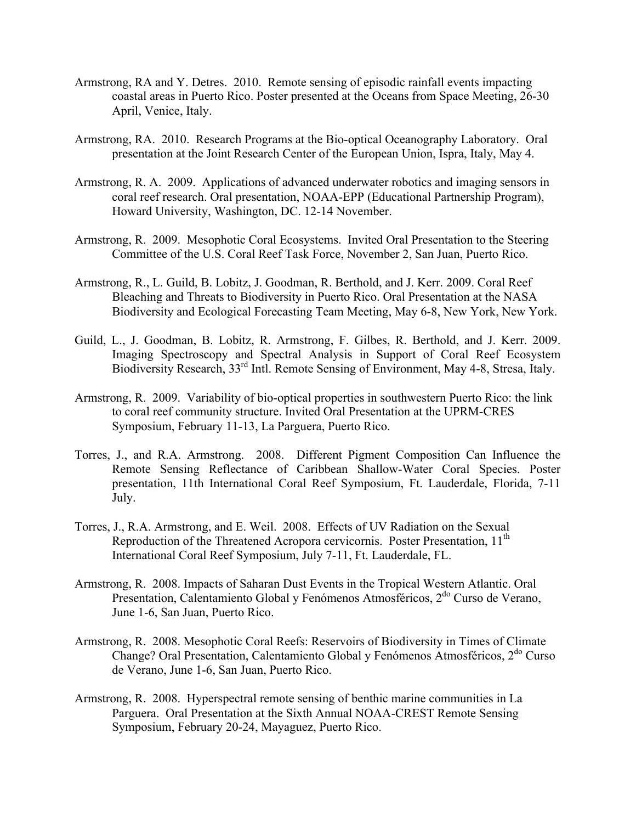- Armstrong, RA and Y. Detres. 2010. Remote sensing of episodic rainfall events impacting coastal areas in Puerto Rico. Poster presented at the Oceans from Space Meeting, 26-30 April, Venice, Italy.
- Armstrong, RA. 2010. Research Programs at the Bio-optical Oceanography Laboratory. Oral presentation at the Joint Research Center of the European Union, Ispra, Italy, May 4.
- Armstrong, R. A. 2009. Applications of advanced underwater robotics and imaging sensors in coral reef research. Oral presentation, NOAA-EPP (Educational Partnership Program), Howard University, Washington, DC. 12-14 November.
- Armstrong, R. 2009. Mesophotic Coral Ecosystems. Invited Oral Presentation to the Steering Committee of the U.S. Coral Reef Task Force, November 2, San Juan, Puerto Rico.
- Armstrong, R., L. Guild, B. Lobitz, J. Goodman, R. Berthold, and J. Kerr. 2009. Coral Reef Bleaching and Threats to Biodiversity in Puerto Rico. Oral Presentation at the NASA Biodiversity and Ecological Forecasting Team Meeting, May 6-8, New York, New York.
- Guild, L., J. Goodman, B. Lobitz, R. Armstrong, F. Gilbes, R. Berthold, and J. Kerr. 2009. Imaging Spectroscopy and Spectral Analysis in Support of Coral Reef Ecosystem Biodiversity Research, 33<sup>rd</sup> Intl. Remote Sensing of Environment, May 4-8, Stresa, Italy.
- Armstrong, R. 2009. Variability of bio-optical properties in southwestern Puerto Rico: the link to coral reef community structure. Invited Oral Presentation at the UPRM-CRES Symposium, February 11-13, La Parguera, Puerto Rico.
- Torres, J., and R.A. Armstrong. 2008. Different Pigment Composition Can Influence the Remote Sensing Reflectance of Caribbean Shallow-Water Coral Species. Poster presentation, 11th International Coral Reef Symposium, Ft. Lauderdale, Florida, 7-11 July.
- Torres, J., R.A. Armstrong, and E. Weil. 2008. Effects of UV Radiation on the Sexual Reproduction of the Threatened Acropora cervicornis. Poster Presentation, 11<sup>th</sup> International Coral Reef Symposium, July 7-11, Ft. Lauderdale, FL.
- Armstrong, R. 2008. Impacts of Saharan Dust Events in the Tropical Western Atlantic. Oral Presentation, Calentamiento Global y Fenómenos Atmosféricos, 2<sup>do</sup> Curso de Verano, June 1-6, San Juan, Puerto Rico.
- Armstrong, R. 2008. Mesophotic Coral Reefs: Reservoirs of Biodiversity in Times of Climate Change? Oral Presentation, Calentamiento Global y Fenómenos Atmosféricos,  $2^{d}$  Curso de Verano, June 1-6, San Juan, Puerto Rico.
- Armstrong, R. 2008. Hyperspectral remote sensing of benthic marine communities in La Parguera. Oral Presentation at the Sixth Annual NOAA-CREST Remote Sensing Symposium, February 20-24, Mayaguez, Puerto Rico.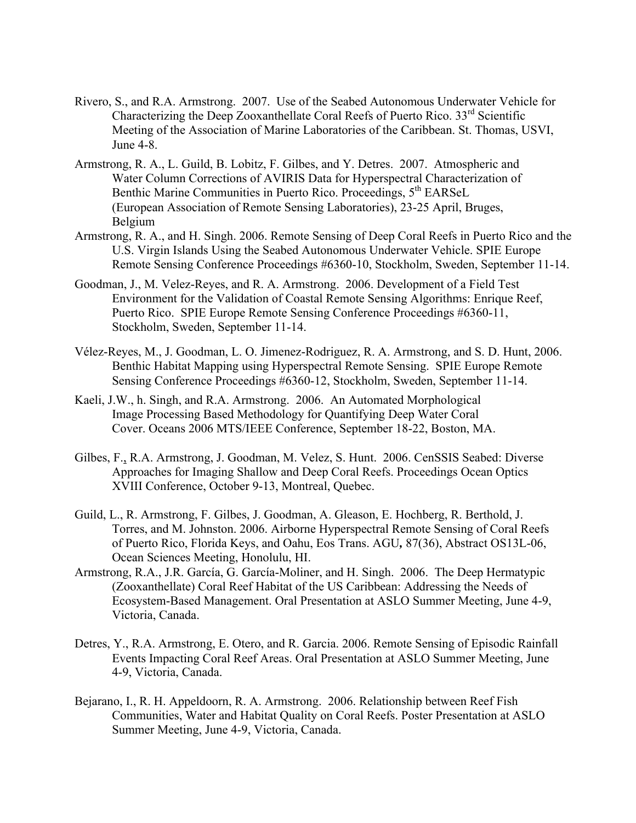- Rivero, S., and R.A. Armstrong. 2007. Use of the Seabed Autonomous Underwater Vehicle for Characterizing the Deep Zooxanthellate Coral Reefs of Puerto Rico.  $33<sup>rd</sup>$  Scientific Meeting of the Association of Marine Laboratories of the Caribbean. St. Thomas, USVI, June 4-8.
- Armstrong, R. A., L. Guild, B. Lobitz, F. Gilbes, and Y. Detres. 2007. Atmospheric and Water Column Corrections of AVIRIS Data for Hyperspectral Characterization of Benthic Marine Communities in Puerto Rico. Proceedings, 5<sup>th</sup> EARSeL (European Association of Remote Sensing Laboratories), 23-25 April, Bruges, Belgium
- Armstrong, R. A., and H. Singh. 2006. Remote Sensing of Deep Coral Reefs in Puerto Rico and the U.S. Virgin Islands Using the Seabed Autonomous Underwater Vehicle. SPIE Europe Remote Sensing Conference Proceedings #6360-10, Stockholm, Sweden, September 11-14.
- Goodman, J., M. Velez-Reyes, and R. A. Armstrong. 2006. Development of a Field Test Environment for the Validation of Coastal Remote Sensing Algorithms: Enrique Reef, Puerto Rico. SPIE Europe Remote Sensing Conference Proceedings #6360-11, Stockholm, Sweden, September 11-14.
- Vélez-Reyes, M., J. Goodman, L. O. Jimenez-Rodriguez, R. A. Armstrong, and S. D. Hunt, 2006. Benthic Habitat Mapping using Hyperspectral Remote Sensing. SPIE Europe Remote Sensing Conference Proceedings #6360-12, Stockholm, Sweden, September 11-14.
- Kaeli, J.W., h. Singh, and R.A. Armstrong. 2006. An Automated Morphological Image Processing Based Methodology for Quantifying Deep Water Coral Cover. Oceans 2006 MTS/IEEE Conference, September 18-22, Boston, MA.
- Gilbes, F., R.A. Armstrong, J. Goodman, M. Velez, S. Hunt. 2006. CenSSIS Seabed: Diverse Approaches for Imaging Shallow and Deep Coral Reefs. Proceedings Ocean Optics XVIII Conference, October 9-13, Montreal, Quebec.
- Guild, L., R. Armstrong, F. Gilbes, J. Goodman, A. Gleason, E. Hochberg, R. Berthold, J. Torres, and M. Johnston. 2006. Airborne Hyperspectral Remote Sensing of Coral Reefs of Puerto Rico, Florida Keys, and Oahu, Eos Trans. AGU*,* 87(36), Abstract OS13L-06, Ocean Sciences Meeting, Honolulu, HI.
- Armstrong, R.A., J.R. García, G. García-Moliner, and H. Singh. 2006. The Deep Hermatypic (Zooxanthellate) Coral Reef Habitat of the US Caribbean: Addressing the Needs of Ecosystem-Based Management. Oral Presentation at ASLO Summer Meeting, June 4-9, Victoria, Canada.
- Detres, Y., R.A. Armstrong, E. Otero, and R. Garcia. 2006. Remote Sensing of Episodic Rainfall Events Impacting Coral Reef Areas. Oral Presentation at ASLO Summer Meeting, June 4-9, Victoria, Canada.
- Bejarano, I., R. H. Appeldoorn, R. A. Armstrong. 2006. Relationship between Reef Fish Communities, Water and Habitat Quality on Coral Reefs. Poster Presentation at ASLO Summer Meeting, June 4-9, Victoria, Canada.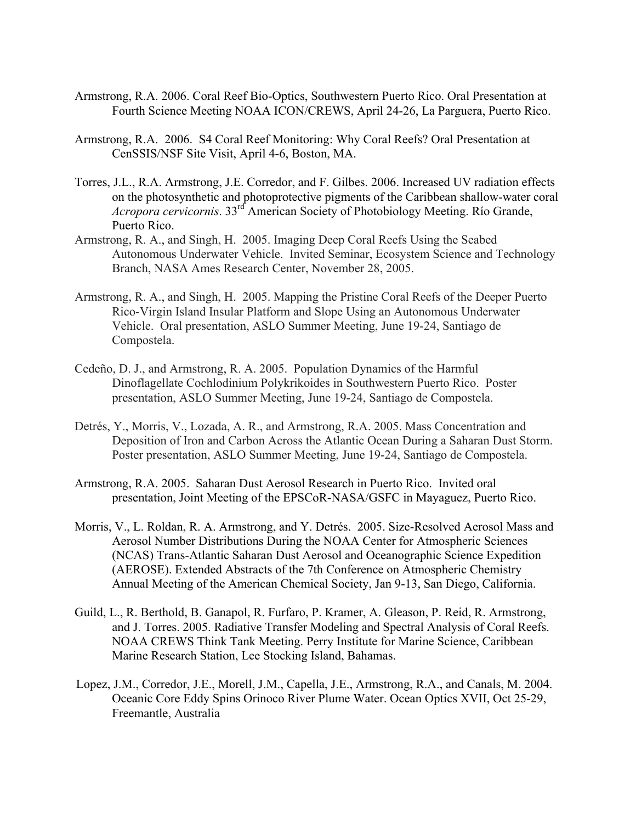- Armstrong, R.A. 2006. Coral Reef Bio-Optics, Southwestern Puerto Rico. Oral Presentation at Fourth Science Meeting NOAA ICON/CREWS, April 24-26, La Parguera, Puerto Rico.
- Armstrong, R.A. 2006. S4 Coral Reef Monitoring: Why Coral Reefs? Oral Presentation at CenSSIS/NSF Site Visit, April 4-6, Boston, MA.
- Torres, J.L., R.A. Armstrong, J.E. Corredor, and F. Gilbes. 2006. Increased UV radiation effects on the photosynthetic and photoprotective pigments of the Caribbean shallow-water coral *Acropora cervicornis*. 33rd American Society of Photobiology Meeting. Río Grande, Puerto Rico.
- Armstrong, R. A., and Singh, H. 2005. Imaging Deep Coral Reefs Using the Seabed Autonomous Underwater Vehicle. Invited Seminar, Ecosystem Science and Technology Branch, NASA Ames Research Center, November 28, 2005.
- Armstrong, R. A., and Singh, H. 2005. Mapping the Pristine Coral Reefs of the Deeper Puerto Rico-Virgin Island Insular Platform and Slope Using an Autonomous Underwater Vehicle. Oral presentation, ASLO Summer Meeting, June 19-24, Santiago de Compostela.
- Cedeño, D. J., and Armstrong, R. A. 2005. Population Dynamics of the Harmful Dinoflagellate Cochlodinium Polykrikoides in Southwestern Puerto Rico. Poster presentation, ASLO Summer Meeting, June 19-24, Santiago de Compostela.
- Detrés, Y., Morris, V., Lozada, A. R., and Armstrong, R.A. 2005. Mass Concentration and Deposition of Iron and Carbon Across the Atlantic Ocean During a Saharan Dust Storm. Poster presentation, ASLO Summer Meeting, June 19-24, Santiago de Compostela.
- Armstrong, R.A. 2005. Saharan Dust Aerosol Research in Puerto Rico. Invited oral presentation, Joint Meeting of the EPSCoR-NASA/GSFC in Mayaguez, Puerto Rico.
- Morris, V., L. Roldan, R. A. Armstrong, and Y. Detrés. 2005. Size-Resolved Aerosol Mass and Aerosol Number Distributions During the NOAA Center for Atmospheric Sciences (NCAS) Trans-Atlantic Saharan Dust Aerosol and Oceanographic Science Expedition (AEROSE). Extended Abstracts of the 7th Conference on Atmospheric Chemistry Annual Meeting of the American Chemical Society, Jan 9-13, San Diego, California.
- Guild, L., R. Berthold, B. Ganapol, R. Furfaro, P. Kramer, A. Gleason, P. Reid, R. Armstrong, and J. Torres. 2005. Radiative Transfer Modeling and Spectral Analysis of Coral Reefs. NOAA CREWS Think Tank Meeting. Perry Institute for Marine Science, Caribbean Marine Research Station, Lee Stocking Island, Bahamas.
- Lopez, J.M., Corredor, J.E., Morell, J.M., Capella, J.E., Armstrong, R.A., and Canals, M. 2004. Oceanic Core Eddy Spins Orinoco River Plume Water. Ocean Optics XVII, Oct 25-29, Freemantle, Australia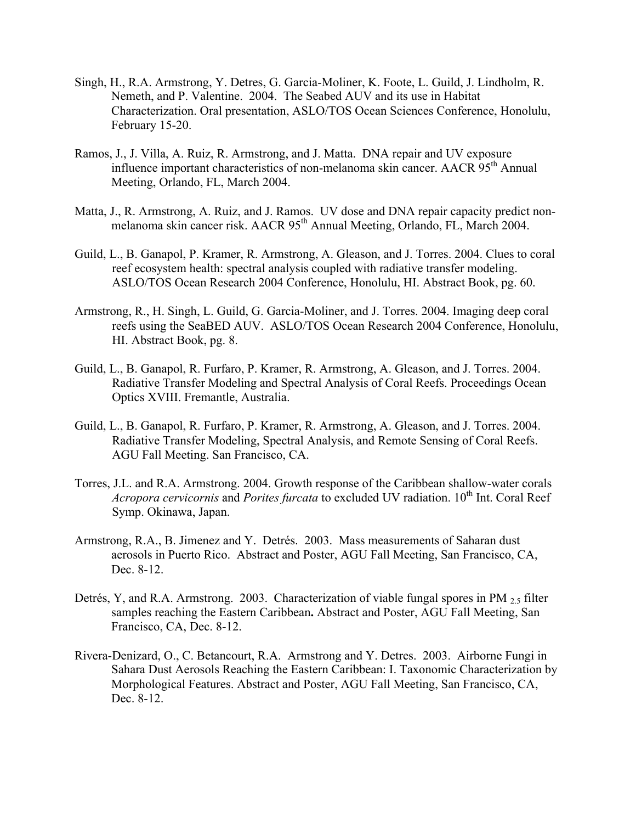- Singh, H., R.A. Armstrong, Y. Detres, G. Garcia-Moliner, K. Foote, L. Guild, J. Lindholm, R. Nemeth, and P. Valentine. 2004. The Seabed AUV and its use in Habitat Characterization. Oral presentation, ASLO/TOS Ocean Sciences Conference, Honolulu, February 15-20.
- Ramos, J., J. Villa, A. Ruiz, R. Armstrong, and J. Matta. DNA repair and UV exposure influence important characteristics of non-melanoma skin cancer. AACR 95th Annual Meeting, Orlando, FL, March 2004.
- Matta, J., R. Armstrong, A. Ruiz, and J. Ramos. UV dose and DNA repair capacity predict nonmelanoma skin cancer risk. AACR 95<sup>th</sup> Annual Meeting, Orlando, FL, March 2004.
- Guild, L., B. Ganapol, P. Kramer, R. Armstrong, A. Gleason, and J. Torres. 2004. Clues to coral reef ecosystem health: spectral analysis coupled with radiative transfer modeling. ASLO/TOS Ocean Research 2004 Conference, Honolulu, HI. Abstract Book, pg. 60.
- Armstrong, R., H. Singh, L. Guild, G. Garcia-Moliner, and J. Torres. 2004. Imaging deep coral reefs using the SeaBED AUV. ASLO/TOS Ocean Research 2004 Conference, Honolulu, HI. Abstract Book, pg. 8.
- Guild, L., B. Ganapol, R. Furfaro, P. Kramer, R. Armstrong, A. Gleason, and J. Torres. 2004. Radiative Transfer Modeling and Spectral Analysis of Coral Reefs. Proceedings Ocean Optics XVIII. Fremantle, Australia.
- Guild, L., B. Ganapol, R. Furfaro, P. Kramer, R. Armstrong, A. Gleason, and J. Torres. 2004. Radiative Transfer Modeling, Spectral Analysis, and Remote Sensing of Coral Reefs. AGU Fall Meeting. San Francisco, CA.
- Torres, J.L. and R.A. Armstrong. 2004. Growth response of the Caribbean shallow-water corals *Acropora cervicornis* and *Porites furcata* to excluded UV radiation. 10<sup>th</sup> Int. Coral Reef Symp. Okinawa, Japan.
- Armstrong, R.A., B. Jimenez and Y. Detrés. 2003. Mass measurements of Saharan dust aerosols in Puerto Rico. Abstract and Poster, AGU Fall Meeting, San Francisco, CA, Dec. 8-12.
- Detrés, Y, and R.A. Armstrong. 2003. Characterization of viable fungal spores in PM 2.5 filter samples reaching the Eastern Caribbean**.** Abstract and Poster, AGU Fall Meeting, San Francisco, CA, Dec. 8-12.
- Rivera-Denizard, O., C. Betancourt, R.A. Armstrong and Y. Detres. 2003. Airborne Fungi in Sahara Dust Aerosols Reaching the Eastern Caribbean: I. Taxonomic Characterization by Morphological Features. Abstract and Poster, AGU Fall Meeting, San Francisco, CA, Dec. 8-12.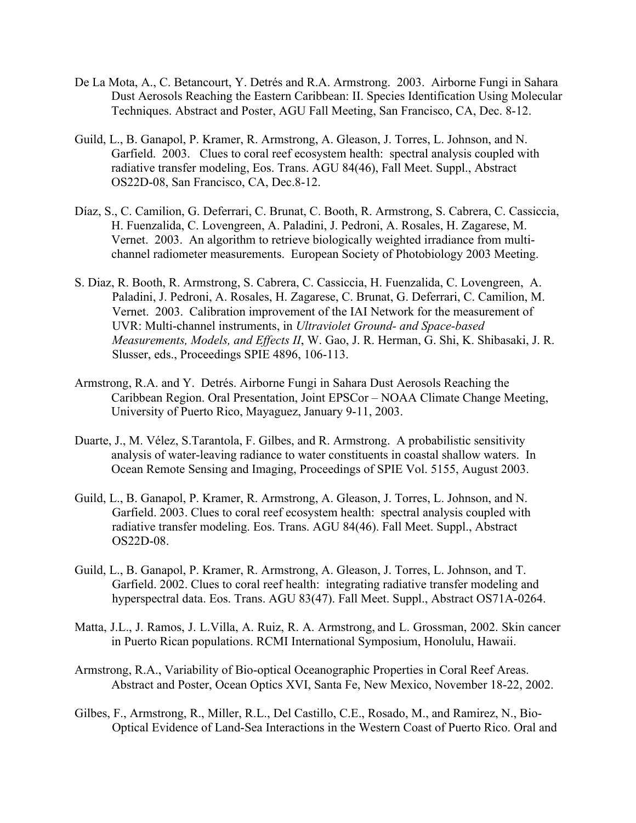- De La Mota, A., C. Betancourt, Y. Detrés and R.A. Armstrong. 2003. Airborne Fungi in Sahara Dust Aerosols Reaching the Eastern Caribbean: II. Species Identification Using Molecular Techniques. Abstract and Poster, AGU Fall Meeting, San Francisco, CA, Dec. 8-12.
- Guild, L., B. Ganapol, P. Kramer, R. Armstrong, A. Gleason, J. Torres, L. Johnson, and N. Garfield. 2003. Clues to coral reef ecosystem health: spectral analysis coupled with radiative transfer modeling, Eos. Trans. AGU 84(46), Fall Meet. Suppl., Abstract OS22D-08, San Francisco, CA, Dec.8-12.
- Díaz, S., C. Camilion, G. Deferrari, C. Brunat, C. Booth, R. Armstrong, S. Cabrera, C. Cassiccia, H. Fuenzalida, C. Lovengreen, A. Paladini, J. Pedroni, A. Rosales, H. Zagarese, M. Vernet. 2003. An algorithm to retrieve biologically weighted irradiance from multichannel radiometer measurements. European Society of Photobiology 2003 Meeting.
- S. Diaz, R. Booth, R. Armstrong, S. Cabrera, C. Cassiccia, H. Fuenzalida, C. Lovengreen, A. Paladini, J. Pedroni, A. Rosales, H. Zagarese, C. Brunat, G. Deferrari, C. Camilion, M. Vernet. 2003. Calibration improvement of the IAI Network for the measurement of UVR: Multi-channel instruments, in *Ultraviolet Ground- and Space-based Measurements, Models, and Effects II*, W. Gao, J. R. Herman, G. Shi, K. Shibasaki, J. R. Slusser, eds., Proceedings SPIE 4896, 106-113.
- Armstrong, R.A. and Y. Detrés. Airborne Fungi in Sahara Dust Aerosols Reaching the Caribbean Region. Oral Presentation, Joint EPSCor – NOAA Climate Change Meeting, University of Puerto Rico, Mayaguez, January 9-11, 2003.
- Duarte, J., M. Vélez, S.Tarantola, F. Gilbes, and R. Armstrong. A probabilistic sensitivity analysis of water-leaving radiance to water constituents in coastal shallow waters. In Ocean Remote Sensing and Imaging, Proceedings of SPIE Vol. 5155, August 2003.
- Guild, L., B. Ganapol, P. Kramer, R. Armstrong, A. Gleason, J. Torres, L. Johnson, and N. Garfield. 2003. Clues to coral reef ecosystem health: spectral analysis coupled with radiative transfer modeling. Eos. Trans. AGU 84(46). Fall Meet. Suppl., Abstract OS22D-08.
- Guild, L., B. Ganapol, P. Kramer, R. Armstrong, A. Gleason, J. Torres, L. Johnson, and T. Garfield. 2002. Clues to coral reef health: integrating radiative transfer modeling and hyperspectral data. Eos. Trans. AGU 83(47). Fall Meet. Suppl., Abstract OS71A-0264.
- Matta, J.L., J. Ramos, J. L.Villa, A. Ruiz, R. A. Armstrong, and L. Grossman, 2002. Skin cancer in Puerto Rican populations. RCMI International Symposium, Honolulu, Hawaii.
- Armstrong, R.A., Variability of Bio-optical Oceanographic Properties in Coral Reef Areas. Abstract and Poster, Ocean Optics XVI, Santa Fe, New Mexico, November 18-22, 2002.
- Gilbes, F., Armstrong, R., Miller, R.L., Del Castillo, C.E., Rosado, M., and Ramirez, N., Bio-Optical Evidence of Land-Sea Interactions in the Western Coast of Puerto Rico. Oral and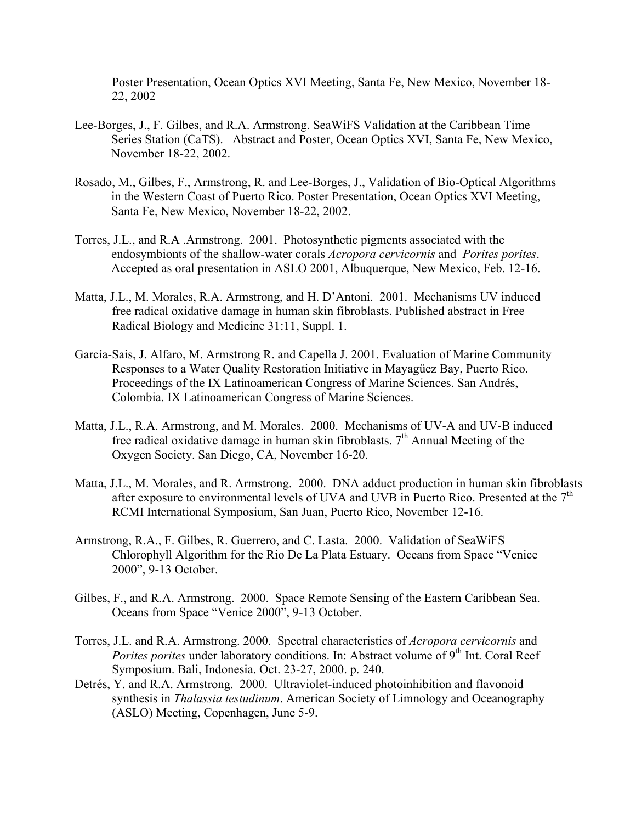Poster Presentation, Ocean Optics XVI Meeting, Santa Fe, New Mexico, November 18- 22, 2002

- Lee-Borges, J., F. Gilbes, and R.A. Armstrong. SeaWiFS Validation at the Caribbean Time Series Station (CaTS). Abstract and Poster, Ocean Optics XVI, Santa Fe, New Mexico, November 18-22, 2002.
- Rosado, M., Gilbes, F., Armstrong, R. and Lee-Borges, J., Validation of Bio-Optical Algorithms in the Western Coast of Puerto Rico. Poster Presentation, Ocean Optics XVI Meeting, Santa Fe, New Mexico, November 18-22, 2002.
- Torres, J.L., and R.A .Armstrong.2001. Photosynthetic pigments associated with the endosymbionts of the shallow-water corals *Acropora cervicornis* and *Porites porites*. Accepted as oral presentation in ASLO 2001, Albuquerque, New Mexico, Feb. 12-16.
- Matta, J.L., M. Morales, R.A. Armstrong, and H. D'Antoni. 2001. Mechanisms UV induced free radical oxidative damage in human skin fibroblasts. Published abstract in Free Radical Biology and Medicine 31:11, Suppl. 1.
- García-Sais, J. Alfaro, M. Armstrong R. and Capella J. 2001. Evaluation of Marine Community Responses to a Water Quality Restoration Initiative in Mayagüez Bay, Puerto Rico. Proceedings of the IX Latinoamerican Congress of Marine Sciences. San Andrés, Colombia. IX Latinoamerican Congress of Marine Sciences.
- Matta, J.L., R.A. Armstrong, and M. Morales. 2000. Mechanisms of UV-A and UV-B induced free radical oxidative damage in human skin fibroblasts.  $7<sup>th</sup>$  Annual Meeting of the Oxygen Society. San Diego, CA, November 16-20.
- Matta, J.L., M. Morales, and R. Armstrong. 2000. DNA adduct production in human skin fibroblasts after exposure to environmental levels of UVA and UVB in Puerto Rico. Presented at the  $7<sup>th</sup>$ RCMI International Symposium, San Juan, Puerto Rico, November 12-16.
- Armstrong, R.A., F. Gilbes, R. Guerrero, and C. Lasta. 2000. Validation of SeaWiFS Chlorophyll Algorithm for the Rio De La Plata Estuary. Oceans from Space "Venice 2000", 9-13 October.
- Gilbes, F., and R.A. Armstrong. 2000. Space Remote Sensing of the Eastern Caribbean Sea. Oceans from Space "Venice 2000", 9-13 October.
- Torres, J.L. and R.A. Armstrong. 2000. Spectral characteristics of *Acropora cervicornis* and *Porites porites* under laboratory conditions. In: Abstract volume of 9<sup>th</sup> Int. Coral Reef Symposium. Bali, Indonesia. Oct. 23-27, 2000. p. 240.
- Detrés, Y. and R.A. Armstrong. 2000. Ultraviolet-induced photoinhibition and flavonoid synthesis in *Thalassia testudinum*. American Society of Limnology and Oceanography (ASLO) Meeting, Copenhagen, June 5-9.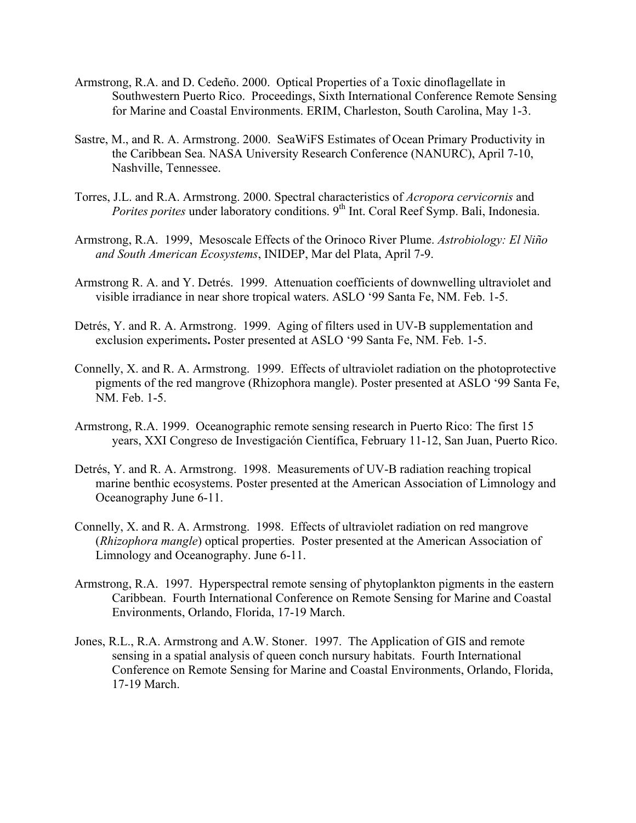- Armstrong, R.A. and D. Cedeño. 2000. Optical Properties of a Toxic dinoflagellate in Southwestern Puerto Rico. Proceedings, Sixth International Conference Remote Sensing for Marine and Coastal Environments. ERIM, Charleston, South Carolina, May 1-3.
- Sastre, M., and R. A. Armstrong. 2000. SeaWiFS Estimates of Ocean Primary Productivity in the Caribbean Sea. NASA University Research Conference (NANURC), April 7-10, Nashville, Tennessee.
- Torres, J.L. and R.A. Armstrong. 2000. Spectral characteristics of *Acropora cervicornis* and *Porites porites* under laboratory conditions. 9<sup>th</sup> Int. Coral Reef Symp. Bali, Indonesia.
- Armstrong, R.A. 1999, Mesoscale Effects of the Orinoco River Plume. *Astrobiology: El Niño and South American Ecosystems*, INIDEP, Mar del Plata, April 7-9.
- Armstrong R. A. and Y. Detrés. 1999. Attenuation coefficients of downwelling ultraviolet and visible irradiance in near shore tropical waters. ASLO '99 Santa Fe, NM. Feb. 1-5.
- Detrés, Y. and R. A. Armstrong. 1999. Aging of filters used in UV-B supplementation and exclusion experiments**.** Poster presented at ASLO '99 Santa Fe, NM. Feb. 1-5.
- Connelly, X. and R. A. Armstrong.1999.Effects of ultraviolet radiation on the photoprotective pigments of the red mangrove (Rhizophora mangle). Poster presented at ASLO '99 Santa Fe, NM. Feb. 1-5.
- Armstrong, R.A. 1999. Oceanographic remote sensing research in Puerto Rico: The first 15 years, XXI Congreso de Investigación Científica, February 11-12, San Juan, Puerto Rico.
- Detrés, Y. and R. A. Armstrong. 1998. Measurements of UV-B radiation reaching tropical marine benthic ecosystems. Poster presented at the American Association of Limnology and Oceanography June 6-11.
- Connelly, X. and R. A. Armstrong. 1998. Effects of ultraviolet radiation on red mangrove (*Rhizophora mangle*) optical properties. Poster presented at the American Association of Limnology and Oceanography. June 6-11.
- Armstrong, R.A. 1997. Hyperspectral remote sensing of phytoplankton pigments in the eastern Caribbean. Fourth International Conference on Remote Sensing for Marine and Coastal Environments, Orlando, Florida, 17-19 March.
- Jones, R.L., R.A. Armstrong and A.W. Stoner. 1997. The Application of GIS and remote sensing in a spatial analysis of queen conch nursury habitats. Fourth International Conference on Remote Sensing for Marine and Coastal Environments, Orlando, Florida, 17-19 March.